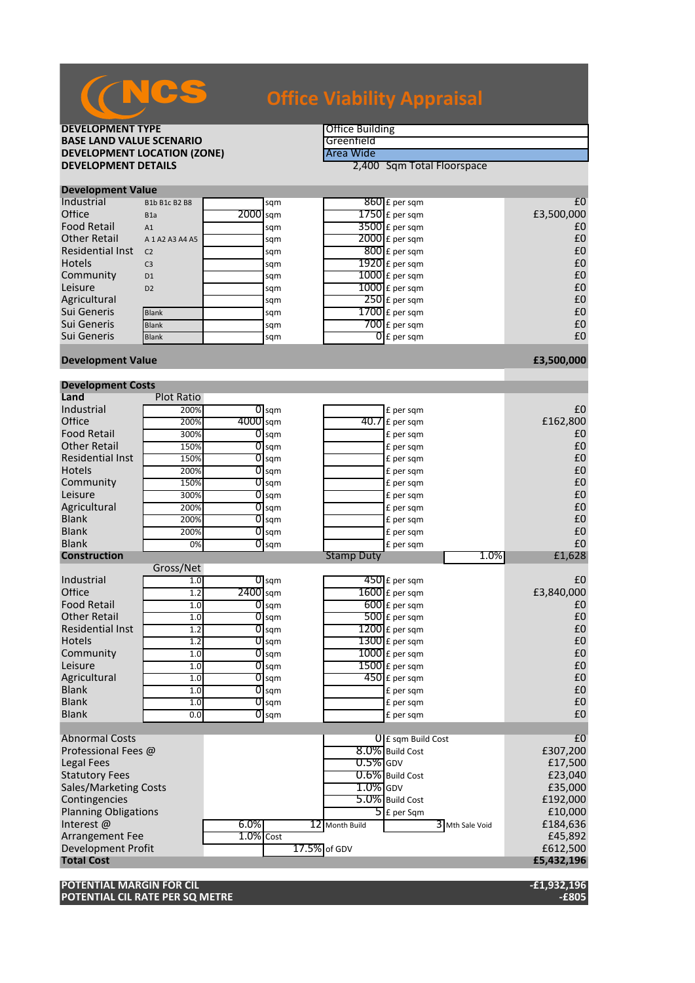# **Office Viability Appraisal**

**DEVELOPMENT TYPE**<br> **BASE LAND VALUE SCENARIO BASE LAND VALUE SCENARIO**<br> **DEVELOPMENT LOCATION (ZONE)** The Case of the Case of Area Wide **DEVELOPMENT LOCATION (ZONE)**<br>DEVELOPMENT DETAILS

**2,400 Sqm Total Floorspace** 

| <b>Development Value</b> |                     |            |     |                          |            |
|--------------------------|---------------------|------------|-----|--------------------------|------------|
| Industrial               | B1b B1c B2 B8       |            | sqm | $860$ £ per sqm          | £C         |
| Office                   | B <sub>1</sub> a    | $2000$ sqm |     | $1750$ $E$ per sqm       | £3,500,000 |
| <b>Food Retail</b>       | A1                  |            | sam | $3500$ £ per sqm         | £C         |
| <b>Other Retail</b>      | A 1 A 2 A 3 A 4 A 5 |            | sqm | $2000$ E per sqm         | £C         |
| <b>Residential Inst</b>  | C <sub>2</sub>      |            | sqm | $800$ E per sqm          | £C         |
| <b>Hotels</b>            | C <sub>3</sub>      |            | sqm | $1920$ £ per sqm         | £C         |
| Community                | D <sub>1</sub>      |            | sqm | $1000$ £ per sqm         | £C         |
| Leisure                  | D <sub>2</sub>      |            | sqm | $1000$ £ per sqm         | £C         |
| Agricultural             |                     |            | sqm | $250$ £ per sqm          | £C         |
| Sui Generis              | <b>Blank</b>        |            | sqm | $1700$ £ per sqm         | £C         |
| Sui Generis              | <b>Blank</b>        |            | sqm | $700$ $E$ per sqm        | £C         |
| Sui Generis              | <b>Blank</b>        |            | sqm | $\overline{0}$ £ per sam | £C         |
|                          |                     |            |     |                          |            |

### **Development Value £3,500,000**

| <b>Development Costs</b>     |                   |              |                    |              |                   |                               |                 |                |
|------------------------------|-------------------|--------------|--------------------|--------------|-------------------|-------------------------------|-----------------|----------------|
| Land                         | <b>Plot Ratio</b> |              |                    |              |                   |                               |                 |                |
| Industrial                   | 200%              |              | $\overline{0}$ sqm |              |                   | £ per sqm                     |                 | £0             |
| Office                       | 200%              | 4000 sqm     |                    |              |                   | $\overline{40.7}$ £ per sqm   |                 | £162,800       |
| <b>Food Retail</b>           | 300%              | 01           | sqm                |              |                   | £ per sqm                     |                 | £0             |
| <b>Other Retail</b>          | 150%              |              | $\overline{0}$ sqm |              |                   | £ per sqm                     |                 | £0             |
| <b>Residential Inst</b>      | 150%              | 0            | sqm                |              |                   | £ per sqm                     |                 | £0             |
| <b>Hotels</b>                | 200%              | 01           | sqm                |              |                   | £ per sqm                     |                 | £0             |
| Community                    | 150%              | 01           | sqm                |              |                   | £ per sqm                     |                 | £0             |
| Leisure                      | 300%              | 0            | sqm                |              |                   | £ per sqm                     |                 | £0             |
| Agricultural                 | 200%              | 01           | sqm                |              |                   | £ per sqm                     |                 | £0             |
| <b>Blank</b>                 | 200%              |              | $0 \,$ sqm         |              |                   | £ per sqm                     |                 | £0             |
| <b>Blank</b>                 | 200%              |              | $O$ sqm            |              |                   | £ per sqm                     |                 | £0             |
| <b>Blank</b>                 | 0%                |              | $O$ sqm            |              |                   | £ per sqm                     |                 | £0             |
| <b>Construction</b>          |                   |              |                    |              | <b>Stamp Duty</b> |                               | 1.0%            | £1,628         |
|                              | Gross/Net         |              |                    |              |                   |                               |                 |                |
| Industrial                   | 1.0               |              | $\overline{0}$ sqm |              |                   | $450$ £ per sqm               |                 | £0             |
| Office                       | 1.2               | $2400$ sqm   |                    |              |                   | $1600$ £ per sqm              |                 | £3,840,000     |
| <b>Food Retail</b>           | 1.0               |              | $0$ sqm            |              |                   | $600$ £ per sqm               |                 | £0             |
| <b>Other Retail</b>          | 1.0               | 01           | sqm                |              |                   | $500$ £ per sqm               |                 | £0             |
| <b>Residential Inst</b>      | 1.2               | 01           | sqm                |              |                   | $1200$ £ per sqm              |                 | £0             |
| <b>Hotels</b>                | 1.2               | 0            | sqm                |              |                   | $1300$ £ per sqm              |                 | £0             |
| Community                    | 1.0               | 01           | sqm                |              |                   | $1000$ $f$ per sqm            |                 | £0             |
| Leisure                      | 1.0               | 01           | sqm                |              |                   | 1500 £ per sqm                |                 | £0             |
| Agricultural                 | 1.0               |              | $0$ sqm            |              |                   | 450 £ per sqm                 |                 | £0             |
| <b>Blank</b>                 | 1.0               |              | $\overline{0}$ sqm |              |                   | £ per sqm                     |                 | £0             |
| <b>Blank</b>                 | 1.0               | 01           | sqm                |              |                   | £ per sqm                     |                 | £0             |
| <b>Blank</b>                 | 0.0               |              | $\overline{O}$ sqm |              |                   | £ per sqm                     |                 | £0             |
|                              |                   |              |                    |              |                   |                               |                 |                |
| <b>Abnormal Costs</b>        |                   |              |                    |              |                   | $0 \mathsf{E}$ sqm Build Cost |                 | E <sub>0</sub> |
| Professional Fees @          |                   |              |                    |              |                   | 8.0% Build Cost               |                 | £307,200       |
| <b>Legal Fees</b>            |                   |              |                    |              | $0.5\%$ GDV       |                               |                 | £17,500        |
| <b>Statutory Fees</b>        |                   |              |                    |              |                   | 0.6% Build Cost               |                 | £23,040        |
| <b>Sales/Marketing Costs</b> |                   |              |                    |              | $1.0\%$ GDV       |                               |                 | £35,000        |
| Contingencies                |                   |              |                    |              |                   | 5.0% Build Cost               |                 | £192,000       |
| <b>Planning Obligations</b>  |                   |              |                    |              |                   | $\overline{5}$ E per Sqm      |                 | £10,000        |
| Interest@                    |                   | $6.0\%$      |                    |              | 12 Month Build    |                               | 3 Mth Sale Void | £184,636       |
| Arrangement Fee              |                   | $1.0\%$ Cost |                    |              |                   |                               |                 | £45,892        |
| <b>Development Profit</b>    |                   |              |                    | 17.5% of GDV |                   |                               |                 | £612,500       |
| <b>Total Cost</b>            |                   |              |                    |              |                   |                               |                 | £5,432,196     |
|                              |                   |              |                    |              |                   |                               |                 |                |

**POTENTIAL MARGIN FOR CIL -£1,932,196 POTENTIAL CIL RATE PER SQ METRE**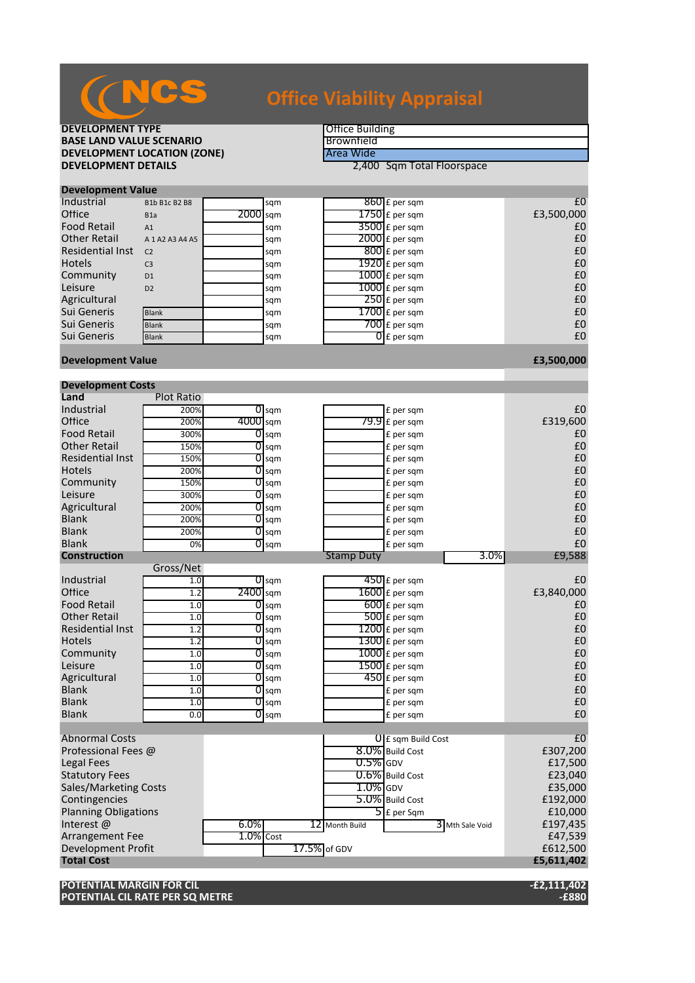# **Office Viability Appraisal**

**DEVELOPMENT TYPE**<br> **BASE LAND VALUE SCENARIO BASE LAND VALUE SCENARIO**<br> **BEVELOPMENT LOCATION (ZONE)**BEVELOPMENT LOCATION (ZONE) **DEVELOPMENT LOCATION (ZONE)**<br>DEVELOPMENT DETAILS

**2,400 Sqm Total Floorspace** 

| <b>Development Value</b> |                     |            |     |  |                          |            |  |  |  |
|--------------------------|---------------------|------------|-----|--|--------------------------|------------|--|--|--|
| Industrial               | B1b B1c B2 B8       |            | sqm |  | $860$ £ per sqm          | £C         |  |  |  |
| Office                   | B <sub>1</sub> a    | $2000$ sqm |     |  | $1750$ $E$ per sqm       | £3,500,000 |  |  |  |
| <b>Food Retail</b>       | A1                  |            | sqm |  | $3500$ E per sqm         | £C         |  |  |  |
| <b>Other Retail</b>      | A 1 A 2 A 3 A 4 A 5 |            | sqm |  | $2000$ £ per sqm         | £C         |  |  |  |
| <b>Residential Inst</b>  | C <sub>2</sub>      |            | sqm |  | $800$ E per sqm          | £C         |  |  |  |
| <b>Hotels</b>            | C <sub>3</sub>      |            | sqm |  | $1920$ £ per sqm         | £C         |  |  |  |
| Community                | D <sub>1</sub>      |            | sqm |  | $1000$ £ per sqm         | £C         |  |  |  |
| Leisure                  | D2                  |            | sqm |  | $1000$ E per sqm         | £C         |  |  |  |
| Agricultural             |                     |            | sqm |  | $250$ £ per sqm          | £C         |  |  |  |
| Sui Generis              | <b>Blank</b>        |            | sqm |  | $1700$ $E$ per sqm       | £C         |  |  |  |
| Sui Generis              | <b>Blank</b>        |            | sqm |  | $700$ $E$ per sqm        | £C         |  |  |  |
| Sui Generis              | <b>Blank</b>        |            | sqm |  | $\overline{O}$ E per sqm | £C         |  |  |  |
|                          |                     |            |     |  |                          |            |  |  |  |

#### **Development Value £3,500,000**

| <b>Development Costs</b>     |                   |              |                    |                   |                                   |                |  |  |  |
|------------------------------|-------------------|--------------|--------------------|-------------------|-----------------------------------|----------------|--|--|--|
| Land                         | <b>Plot Ratio</b> |              |                    |                   |                                   |                |  |  |  |
| Industrial                   | 200%              |              | $0 \,$ sqm         |                   | £ per sqm                         | £0             |  |  |  |
| Office                       | 200%              | 4000 sqm     |                    |                   | $79.9$ £ per sqm                  | £319,600       |  |  |  |
| <b>Food Retail</b>           | 300%              |              | $O$ sqm            |                   | £ per sqm                         | £0             |  |  |  |
| <b>Other Retail</b>          | 150%              |              | $O$ sqm            |                   | £ per sqm                         | £0             |  |  |  |
| <b>Residential Inst</b>      | 150%              | 01           | sqm                |                   | £ per sqm                         | £0             |  |  |  |
| <b>Hotels</b>                | 200%              | 01           | sqm                |                   | £ per sqm                         | £0             |  |  |  |
| Community                    | 150%              | 01           | sqm                |                   | £ per sqm                         | £0             |  |  |  |
| Leisure                      | 300%              | 0            | sqm                |                   | £ per sqm                         | £0             |  |  |  |
| Agricultural                 | 200%              | 01           | sqm                |                   | £ per sqm                         | £0             |  |  |  |
| <b>Blank</b>                 | 200%              |              | $0$ sqm            |                   | £ per sqm                         | £0             |  |  |  |
| <b>Blank</b>                 | 200%              |              | $O$ sqm            |                   | £ per sqm                         | £0             |  |  |  |
| <b>Blank</b>                 | 0%                | 01           | sqm                |                   | £ per sqm                         | £0             |  |  |  |
| <b>Construction</b>          |                   |              |                    | <b>Stamp Duty</b> | $3.0\%$                           | £9,588         |  |  |  |
|                              | Gross/Net         |              |                    |                   |                                   |                |  |  |  |
| Industrial                   | 1.0               |              | $\overline{0}$ sqm |                   | $450$ £ per sqm                   | £0             |  |  |  |
| Office                       | 1.2               | $2400$ sqm   |                    |                   | $1600$ £ per sqm                  | £3,840,000     |  |  |  |
| <b>Food Retail</b>           | 1.0               |              | $\overline{O}$ sqm |                   | $600$ £ per sqm                   | £0             |  |  |  |
| <b>Other Retail</b>          | 1.0               | 01           | sqm                |                   | 500 £ per sqm                     | £0             |  |  |  |
| <b>Residential Inst</b>      | 1.2               | 01           | sqm                |                   | $1200$ £ per sqm                  | £0             |  |  |  |
| <b>Hotels</b>                | 1.2               | 0            | sqm                |                   | $1300$ £ per sqm                  | £0             |  |  |  |
| Community                    | 1.0               | 01           | sqm                |                   | $1000$ $f$ per sqm                | £0             |  |  |  |
| Leisure                      | 1.0               | 01           | sqm                |                   | $1500$ £ per sqm                  | £0             |  |  |  |
| Agricultural                 | 1.0               |              | $\overline{0}$ sqm |                   | 450 £ per sqm                     | £0             |  |  |  |
| <b>Blank</b>                 | 1.0               |              | $\overline{0}$ sqm |                   | £ per sqm                         | £0             |  |  |  |
| <b>Blank</b>                 | 1.0               | O            | sqm                |                   | £ per sqm                         | £0             |  |  |  |
| <b>Blank</b>                 | 0.0               | 01           | sqm                |                   | £ per sqm                         | £0             |  |  |  |
|                              |                   |              |                    |                   |                                   |                |  |  |  |
| <b>Abnormal Costs</b>        |                   |              |                    |                   | <b>U</b> E sqm Build Cost         | E <sub>0</sub> |  |  |  |
| Professional Fees @          |                   |              |                    |                   | 8.0% Build Cost                   | £307,200       |  |  |  |
| <b>Legal Fees</b>            |                   |              |                    | $0.5\%$ GDV       |                                   | £17,500        |  |  |  |
| <b>Statutory Fees</b>        |                   |              |                    |                   | 0.6% Build Cost                   | £23,040        |  |  |  |
| <b>Sales/Marketing Costs</b> |                   |              |                    | $1.0\%$ GDV       |                                   | £35,000        |  |  |  |
| Contingencies                |                   |              |                    |                   | 5.0% Build Cost                   | £192,000       |  |  |  |
| <b>Planning Obligations</b>  |                   |              |                    |                   | $\overline{\mathbf{5}}$ E per Sqm | £10,000        |  |  |  |
| Interest@                    |                   | $6.0\%$      |                    | 12 Month Build    | 3 Mth Sale Void                   | £197,435       |  |  |  |
| Arrangement Fee              |                   | $1.0\%$ Cost |                    |                   |                                   | £47,539        |  |  |  |
| <b>Development Profit</b>    |                   |              |                    | 17.5% of GDV      |                                   | £612,500       |  |  |  |
| <b>Total Cost</b>            |                   |              |                    |                   |                                   | £5,611,402     |  |  |  |
|                              |                   |              |                    |                   |                                   |                |  |  |  |

**POTENTIAL MARGIN FOR CIL -£2,111,402 POTENTIAL CIL RATE PER SQ METRE**